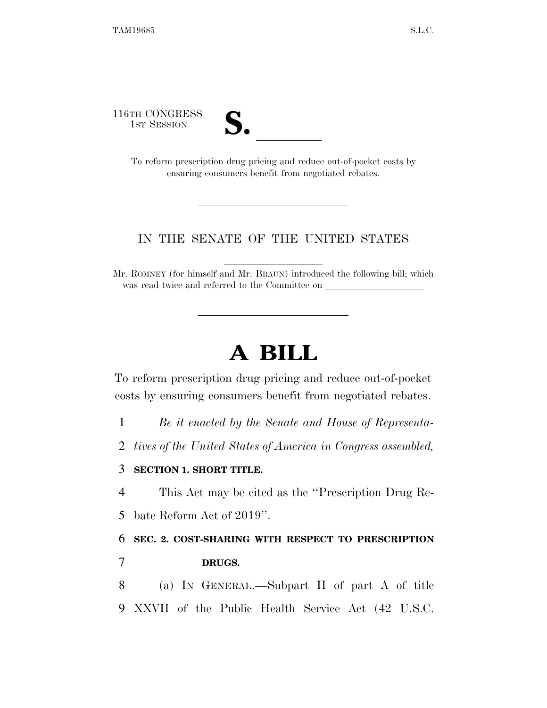116TH CONGRESS



TH CONGRESS<br>
1st Session<br>
To reform prescription drug pricing and reduce out-of-pocket costs by ensuring consumers benefit from negotiated rebates.

## IN THE SENATE OF THE UNITED STATES

Mr. ROMNEY (for himself and Mr. BRAUN) introduced the following bill; which was read twice and referred to the Committee on

## **A BILL**

To reform prescription drug pricing and reduce out-of-pocket costs by ensuring consumers benefit from negotiated rebates.

- 1 *Be it enacted by the Senate and House of Representa-*
- 2 *tives of the United States of America in Congress assembled,*

## 3 **SECTION 1. SHORT TITLE.**

4 This Act may be cited as the ''Prescription Drug Re-

5 bate Reform Act of 2019''.

6 **SEC. 2. COST-SHARING WITH RESPECT TO PRESCRIPTION**  7 **DRUGS.** 

8 (a) IN GENERAL.—Subpart II of part A of title 9 XXVII of the Public Health Service Act (42 U.S.C.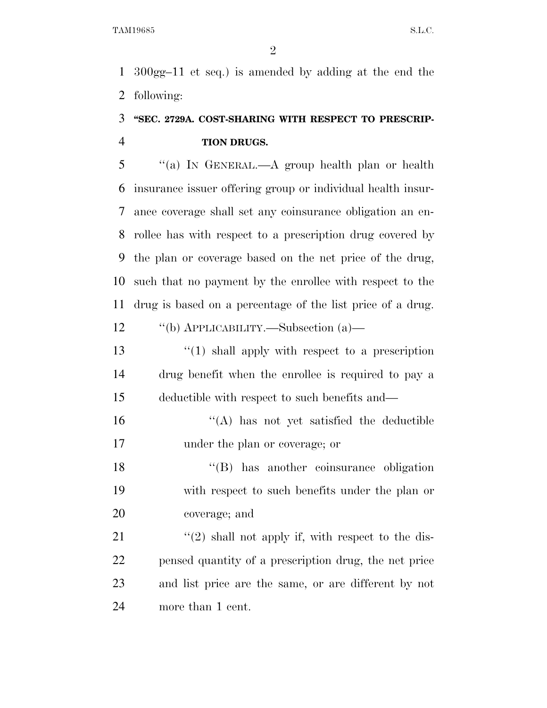300gg–11 et seq.) is amended by adding at the end the following:

## **''SEC. 2729A. COST-SHARING WITH RESPECT TO PRESCRIP-TION DRUGS.**

 ''(a) IN GENERAL.—A group health plan or health insurance issuer offering group or individual health insur- ance coverage shall set any coinsurance obligation an en- rollee has with respect to a prescription drug covered by the plan or coverage based on the net price of the drug, such that no payment by the enrollee with respect to the drug is based on a percentage of the list price of a drug. ''(b) APPLICABILITY.—Subsection (a)—

13 ''(1) shall apply with respect to a prescription drug benefit when the enrollee is required to pay a deductible with respect to such benefits and—

 ''(A) has not yet satisfied the deductible under the plan or coverage; or

 ''(B) has another coinsurance obligation with respect to such benefits under the plan or coverage; and

 $\langle \hat{u}(2) \rangle$  shall not apply if, with respect to the dis- pensed quantity of a prescription drug, the net price and list price are the same, or are different by not more than 1 cent.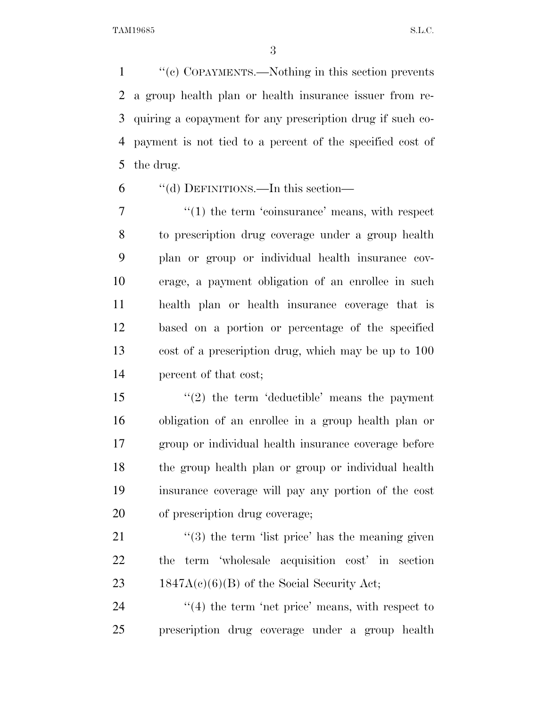''(c) COPAYMENTS.—Nothing in this section prevents a group health plan or health insurance issuer from re- quiring a copayment for any prescription drug if such co- payment is not tied to a percent of the specified cost of the drug.

''(d) DEFINITIONS.—In this section—

 $\frac{1}{1}$  the term 'coinsurance' means, with respect to prescription drug coverage under a group health plan or group or individual health insurance cov- erage, a payment obligation of an enrollee in such health plan or health insurance coverage that is based on a portion or percentage of the specified cost of a prescription drug, which may be up to 100 percent of that cost;

15 ''(2) the term 'deductible' means the payment obligation of an enrollee in a group health plan or group or individual health insurance coverage before the group health plan or group or individual health insurance coverage will pay any portion of the cost of prescription drug coverage;

21 ''(3) the term 'list price' has the meaning given the term 'wholesale acquisition cost' in section 23 1847A(c)(6)(B) of the Social Security Act;

24 ''(4) the term 'net price' means, with respect to prescription drug coverage under a group health